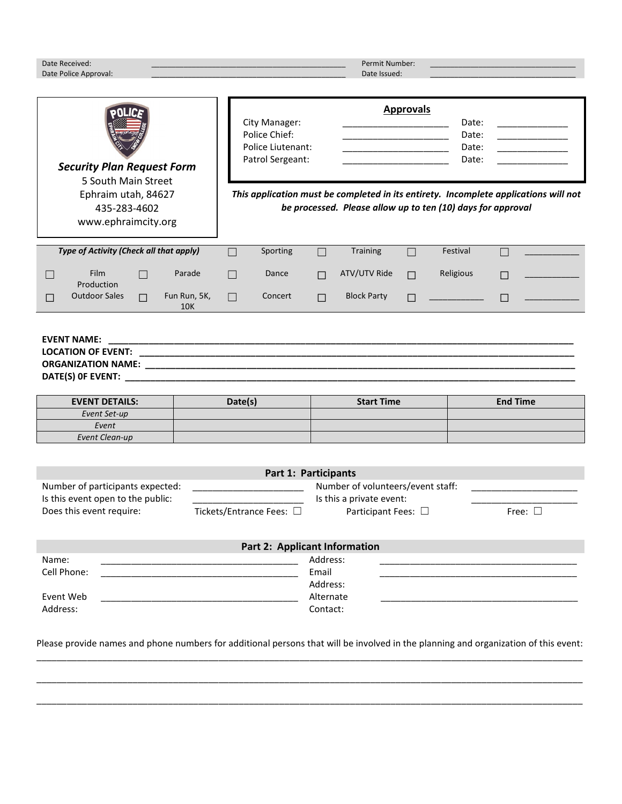| Date Received:<br>Date Police Approval:                                                                                                                                                                                                                          |                               |                                                                                |                       | Permit Number:<br>Date Issued:                                                                                                        |        |                                                                                                                                                                                                                                                           |                 |  |
|------------------------------------------------------------------------------------------------------------------------------------------------------------------------------------------------------------------------------------------------------------------|-------------------------------|--------------------------------------------------------------------------------|-----------------------|---------------------------------------------------------------------------------------------------------------------------------------|--------|-----------------------------------------------------------------------------------------------------------------------------------------------------------------------------------------------------------------------------------------------------------|-----------------|--|
| <b>Security Plan Request Form</b><br>5 South Main Street<br>Ephraim utah, 84627<br>435-283-4602<br>www.ephraimcity.org                                                                                                                                           |                               | City Manager:<br>Police Chief:<br><b>Police Liutenant:</b><br>Patrol Sergeant: |                       | <b>Approvals</b><br><u> 1989 - Johann Barbara, martxa alemani</u> ar a<br>be processed. Please allow up to ten (10) days for approval |        | Date:<br>the control of the control of the<br>Date:<br><u> 1990 - Johann Barbara, martin a</u><br>Date:<br><u> 1990 - Johann Marie Barn, mars et al.</u><br>Date:<br>This application must be completed in its entirety. Incomplete applications will not |                 |  |
| Type of Activity (Check all that apply)                                                                                                                                                                                                                          | П                             | Sporting                                                                       | П                     | <b>Training</b>                                                                                                                       | $\Box$ | Festival                                                                                                                                                                                                                                                  | П               |  |
| <b>Film</b><br>$\Box$                                                                                                                                                                                                                                            | Parade<br>$\Box$              | Dance                                                                          | П                     | ATV/UTV Ride                                                                                                                          | П      | Religious                                                                                                                                                                                                                                                 | П               |  |
| Production<br><b>Outdoor Sales</b><br>П<br>П                                                                                                                                                                                                                     | Fun Run, 5K,<br>$\Box$<br>10K | Concert                                                                        | П                     | <b>Block Party</b>                                                                                                                    | П      |                                                                                                                                                                                                                                                           | $\Box$          |  |
| <b>EVENT NAME:</b>                                                                                                                                                                                                                                               |                               |                                                                                |                       |                                                                                                                                       |        |                                                                                                                                                                                                                                                           |                 |  |
| <b>EVENT DETAILS:</b>                                                                                                                                                                                                                                            |                               | Date(s)                                                                        |                       | <b>Start Time</b>                                                                                                                     |        |                                                                                                                                                                                                                                                           | <b>End Time</b> |  |
| Event Set-up<br>Event                                                                                                                                                                                                                                            |                               |                                                                                |                       |                                                                                                                                       |        |                                                                                                                                                                                                                                                           |                 |  |
| <b>Event Clean-up</b>                                                                                                                                                                                                                                            |                               |                                                                                |                       |                                                                                                                                       |        |                                                                                                                                                                                                                                                           |                 |  |
| Part 1: Participants<br>Number of volunteers/event staff:<br>Number of participants expected:<br>Is this event open to the public:<br>Is this a private event:<br>Does this event require:<br>Tickets/Entrance Fees: □<br>Participant Fees: □<br>Free: $\square$ |                               |                                                                                |                       |                                                                                                                                       |        |                                                                                                                                                                                                                                                           |                 |  |
| <b>Part 2: Applicant Information</b>                                                                                                                                                                                                                             |                               |                                                                                |                       |                                                                                                                                       |        |                                                                                                                                                                                                                                                           |                 |  |
| Address:<br>Name:                                                                                                                                                                                                                                                |                               |                                                                                |                       |                                                                                                                                       |        |                                                                                                                                                                                                                                                           |                 |  |
| Cell Phone:                                                                                                                                                                                                                                                      |                               |                                                                                |                       | Email                                                                                                                                 |        |                                                                                                                                                                                                                                                           |                 |  |
| Event Web                                                                                                                                                                                                                                                        |                               |                                                                                | Address:<br>Alternate |                                                                                                                                       |        |                                                                                                                                                                                                                                                           |                 |  |
| Address:                                                                                                                                                                                                                                                         |                               | Contact:                                                                       |                       |                                                                                                                                       |        |                                                                                                                                                                                                                                                           |                 |  |
|                                                                                                                                                                                                                                                                  |                               |                                                                                |                       |                                                                                                                                       |        |                                                                                                                                                                                                                                                           |                 |  |

Please provide names and phone numbers for additional persons that will be involved in the planning and organization of this event: \_\_\_\_\_\_\_\_\_\_\_\_\_\_\_\_\_\_\_\_\_\_\_\_\_\_\_\_\_\_\_\_\_\_\_\_\_\_\_\_\_\_\_\_\_\_\_\_\_\_\_\_\_\_\_\_\_\_\_\_\_\_\_\_\_\_\_\_\_\_\_\_\_\_\_\_\_\_\_\_\_\_\_\_\_\_\_\_\_\_\_\_\_\_\_\_\_\_\_\_\_\_\_\_\_\_\_\_

\_\_\_\_\_\_\_\_\_\_\_\_\_\_\_\_\_\_\_\_\_\_\_\_\_\_\_\_\_\_\_\_\_\_\_\_\_\_\_\_\_\_\_\_\_\_\_\_\_\_\_\_\_\_\_\_\_\_\_\_\_\_\_\_\_\_\_\_\_\_\_\_\_\_\_\_\_\_\_\_\_\_\_\_\_\_\_\_\_\_\_\_\_\_\_\_\_\_\_\_\_\_\_\_\_\_\_\_

\_\_\_\_\_\_\_\_\_\_\_\_\_\_\_\_\_\_\_\_\_\_\_\_\_\_\_\_\_\_\_\_\_\_\_\_\_\_\_\_\_\_\_\_\_\_\_\_\_\_\_\_\_\_\_\_\_\_\_\_\_\_\_\_\_\_\_\_\_\_\_\_\_\_\_\_\_\_\_\_\_\_\_\_\_\_\_\_\_\_\_\_\_\_\_\_\_\_\_\_\_\_\_\_\_\_\_\_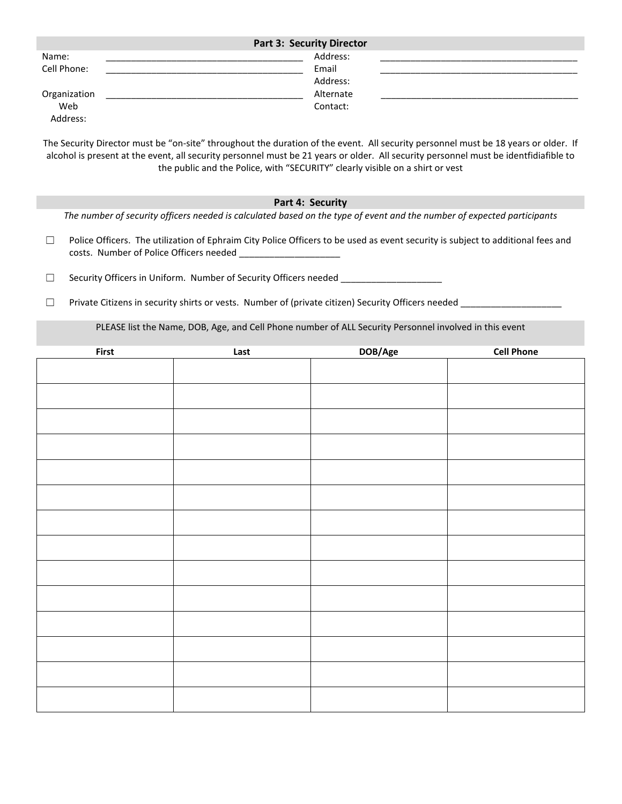| <b>Part 3: Security Director</b> |           |  |  |  |  |  |
|----------------------------------|-----------|--|--|--|--|--|
| Name:                            | Address:  |  |  |  |  |  |
| Cell Phone:                      | Email     |  |  |  |  |  |
|                                  | Address:  |  |  |  |  |  |
| Organization                     | Alternate |  |  |  |  |  |
| Web                              | Contact:  |  |  |  |  |  |
| Address:                         |           |  |  |  |  |  |

The Security Director must be "on-site" throughout the duration of the event. All security personnel must be 18 years or older. If alcohol is present at the event, all security personnel must be 21 years or older. All security personnel must be identfidiafible to the public and the Police, with "SECURITY" clearly visible on a shirt or vest

## **Part 4: Security**

*The number of security officers needed is calculated based on the type of event and the number of expected participants*

- □ Police Officers. The utilization of Ephraim City Police Officers to be used as event security is subject to additional fees and costs. Number of Police Officers needed
- □ Security Officers in Uniform. Number of Security Officers needed \_\_\_\_\_\_\_\_\_\_\_\_
- $\Box$  Private Citizens in security shirts or vests. Number of (private citizen) Security Officers needed

PLEASE list the Name, DOB, Age, and Cell Phone number of ALL Security Personnel involved in this event

| First | Last | DOB/Age | <b>Cell Phone</b> |
|-------|------|---------|-------------------|
|       |      |         |                   |
|       |      |         |                   |
|       |      |         |                   |
|       |      |         |                   |
|       |      |         |                   |
|       |      |         |                   |
|       |      |         |                   |
|       |      |         |                   |
|       |      |         |                   |
|       |      |         |                   |
|       |      |         |                   |
|       |      |         |                   |
|       |      |         |                   |
|       |      |         |                   |
|       |      |         |                   |
|       |      |         |                   |
|       |      |         |                   |
|       |      |         |                   |
|       |      |         |                   |
|       |      |         |                   |
|       |      |         |                   |
|       |      |         |                   |
|       |      |         |                   |
|       |      |         |                   |
|       |      |         |                   |
|       |      |         |                   |
|       |      |         |                   |
|       |      |         |                   |
|       |      |         |                   |
|       |      |         |                   |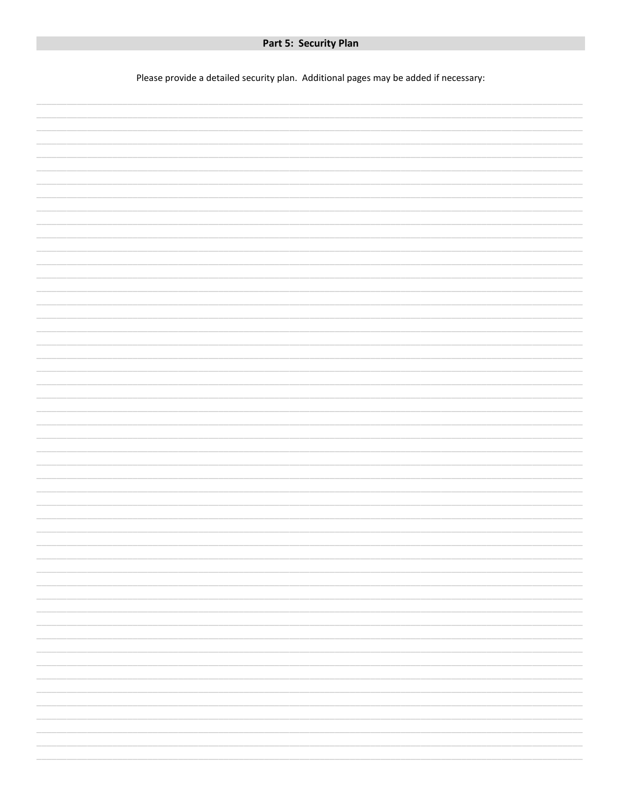Please provide a detailed security plan. Additional pages may be added if necessary:

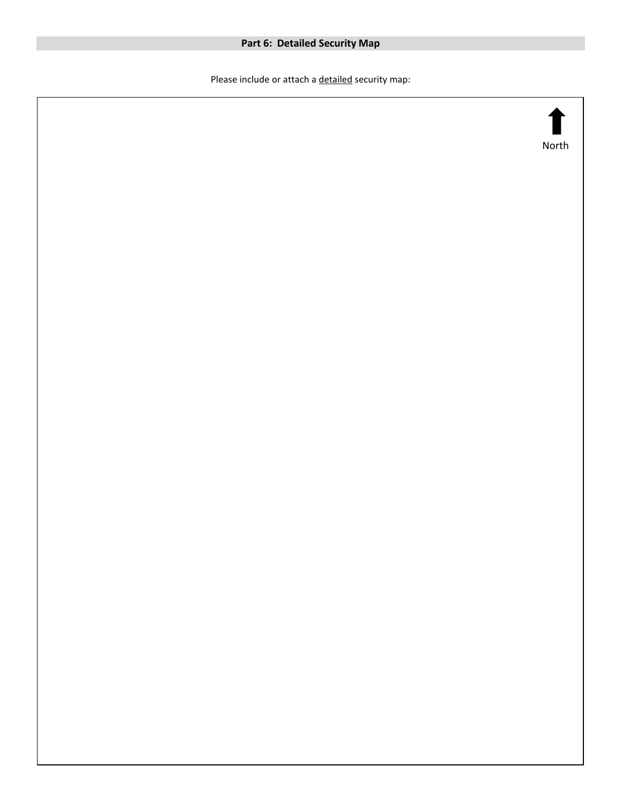## **Part 6: Detailed Security Map**

Please include or attach a **detailed** security map: